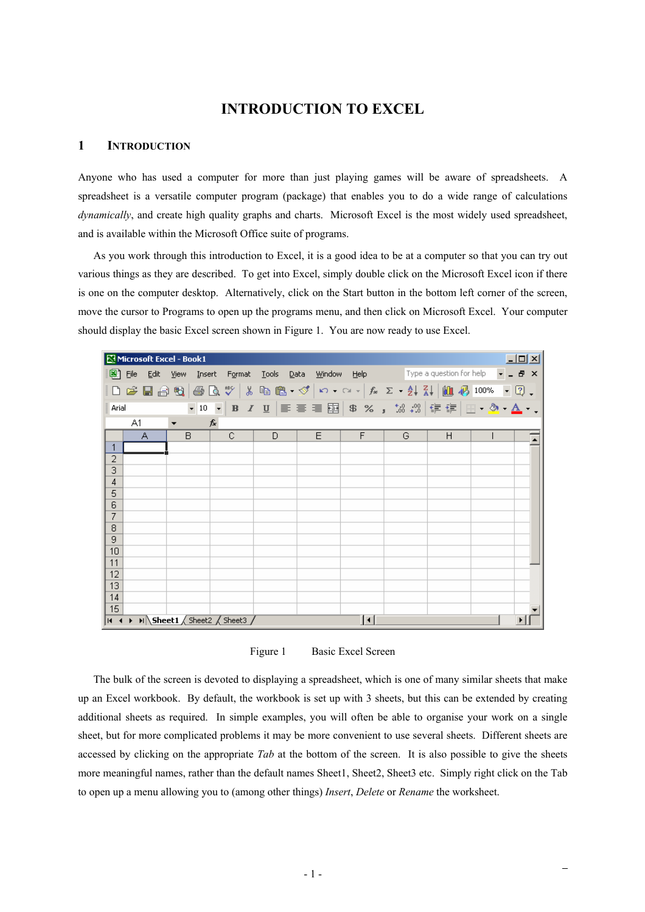# **INTRODUCTION TO EXCEL**

#### **1 INTRODUCTION**

Anyone who has used a computer for more than just playing games will be aware of spreadsheets. A spreadsheet is a versatile computer program (package) that enables you to do a wide range of calculations *dynamically*, and create high quality graphs and charts. Microsoft Excel is the most widely used spreadsheet, and is available within the Microsoft Office suite of programs.

As you work through this introduction to Excel, it is a good idea to be at a computer so that you can try out various things as they are described. To get into Excel, simply double click on the Microsoft Excel icon if there is one on the computer desktop. Alternatively, click on the Start button in the bottom left corner of the screen, move the cursor to Programs to open up the programs menu, and then click on Microsoft Excel. Your computer should display the basic Excel screen shown in Figure 1. You are now ready to use Excel.

|            | $-12X$<br>Microsoft Excel - Book1                                                                                                                                                                                                                                                                                                                                                                                                                                                                                                 |                |                                                 |              |      |                     |                                      |   |  |              |
|------------|-----------------------------------------------------------------------------------------------------------------------------------------------------------------------------------------------------------------------------------------------------------------------------------------------------------------------------------------------------------------------------------------------------------------------------------------------------------------------------------------------------------------------------------|----------------|-------------------------------------------------|--------------|------|---------------------|--------------------------------------|---|--|--------------|
|            | 图 File<br>Edit                                                                                                                                                                                                                                                                                                                                                                                                                                                                                                                    | View<br>Insert | Format                                          | <b>Tools</b> | Data |                     | Window Help Type a question for help |   |  | $   \approx$ |
|            |                                                                                                                                                                                                                                                                                                                                                                                                                                                                                                                                   |                |                                                 |              |      |                     |                                      |   |  |              |
|            | $\left\  \begin{array}{c c c c c c c} \multicolumn{3}{c }{\textbf{A}} & \multicolumn{3}{c }{\textbf{B}} & \multicolumn{3}{c }{\textbf{B}} & \multicolumn{3}{c }{\textbf{B}} & \multicolumn{3}{c }{\textbf{B}} & \multicolumn{3}{c }{\textbf{B}} & \multicolumn{3}{c }{\textbf{B}} & \multicolumn{3}{c }{\textbf{B}} & \multicolumn{3}{c }{\textbf{B}} & \multicolumn{3}{c }{\textbf{B}} & \multicolumn{3}{c }{\textbf{B}} & \multicolumn{3}{c }{$<br>▼10 ▼ B Z U   事 事 章 国   \$ % , 38 + 39   律 律   田 - 少 - $\Delta$ - .<br>Arial |                |                                                 |              |      |                     |                                      |   |  |              |
|            | A1                                                                                                                                                                                                                                                                                                                                                                                                                                                                                                                                |                | fx                                              |              |      |                     |                                      |   |  |              |
|            | А                                                                                                                                                                                                                                                                                                                                                                                                                                                                                                                                 | B.             | C                                               | D            | E    | F                   | G                                    | H |  |              |
| 1          |                                                                                                                                                                                                                                                                                                                                                                                                                                                                                                                                   |                |                                                 |              |      |                     |                                      |   |  |              |
| 2          |                                                                                                                                                                                                                                                                                                                                                                                                                                                                                                                                   |                |                                                 |              |      |                     |                                      |   |  |              |
| 3          |                                                                                                                                                                                                                                                                                                                                                                                                                                                                                                                                   |                |                                                 |              |      |                     |                                      |   |  |              |
| $\sqrt{4}$ |                                                                                                                                                                                                                                                                                                                                                                                                                                                                                                                                   |                |                                                 |              |      |                     |                                      |   |  |              |
| 5          |                                                                                                                                                                                                                                                                                                                                                                                                                                                                                                                                   |                |                                                 |              |      |                     |                                      |   |  |              |
| 6          |                                                                                                                                                                                                                                                                                                                                                                                                                                                                                                                                   |                |                                                 |              |      |                     |                                      |   |  |              |
| 7<br>8     |                                                                                                                                                                                                                                                                                                                                                                                                                                                                                                                                   |                |                                                 |              |      |                     |                                      |   |  |              |
| 9          |                                                                                                                                                                                                                                                                                                                                                                                                                                                                                                                                   |                |                                                 |              |      |                     |                                      |   |  |              |
| 10         |                                                                                                                                                                                                                                                                                                                                                                                                                                                                                                                                   |                |                                                 |              |      |                     |                                      |   |  |              |
| 11         |                                                                                                                                                                                                                                                                                                                                                                                                                                                                                                                                   |                |                                                 |              |      |                     |                                      |   |  |              |
| 12         |                                                                                                                                                                                                                                                                                                                                                                                                                                                                                                                                   |                |                                                 |              |      |                     |                                      |   |  |              |
| 13         |                                                                                                                                                                                                                                                                                                                                                                                                                                                                                                                                   |                |                                                 |              |      |                     |                                      |   |  |              |
| 14         |                                                                                                                                                                                                                                                                                                                                                                                                                                                                                                                                   |                |                                                 |              |      |                     |                                      |   |  |              |
| 15         |                                                                                                                                                                                                                                                                                                                                                                                                                                                                                                                                   |                |                                                 |              |      |                     |                                      |   |  |              |
|            |                                                                                                                                                                                                                                                                                                                                                                                                                                                                                                                                   |                | $ H \rightarrow H$ M Sheet1 / Sheet2 / Sheet3 / |              |      | $\vert \cdot \vert$ |                                      |   |  |              |

Figure 1 Basic Excel Screen

The bulk of the screen is devoted to displaying a spreadsheet, which is one of many similar sheets that make up an Excel workbook. By default, the workbook is set up with 3 sheets, but this can be extended by creating additional sheets as required. In simple examples, you will often be able to organise your work on a single sheet, but for more complicated problems it may be more convenient to use several sheets. Different sheets are accessed by clicking on the appropriate *Tab* at the bottom of the screen. It is also possible to give the sheets more meaningful names, rather than the default names Sheet1, Sheet2, Sheet3 etc. Simply right click on the Tab to open up a menu allowing you to (among other things) *Insert*, *Delete* or *Rename* the worksheet.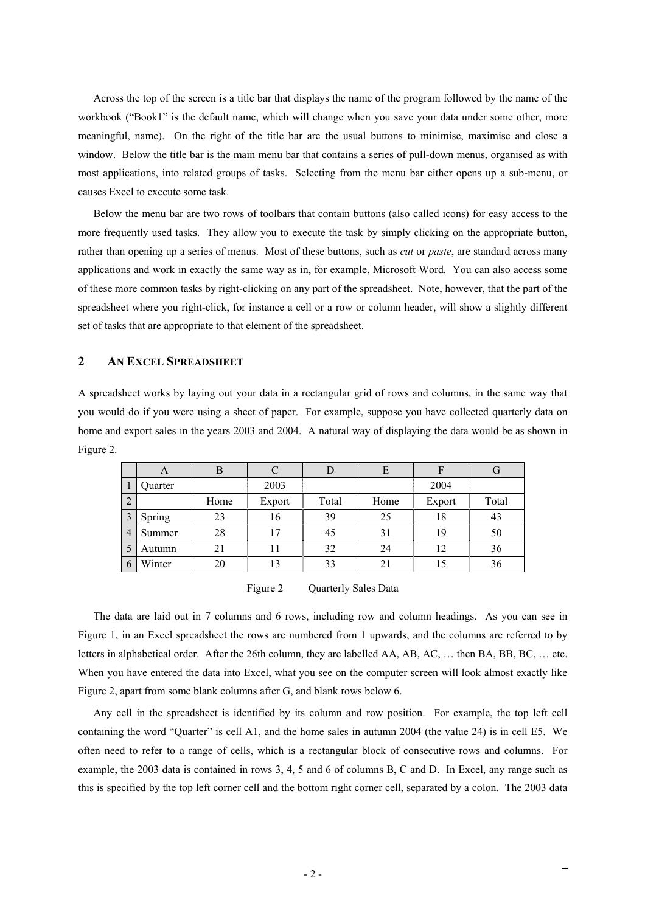Across the top of the screen is a title bar that displays the name of the program followed by the name of the workbook ("Book1" is the default name, which will change when you save your data under some other, more meaningful, name). On the right of the title bar are the usual buttons to minimise, maximise and close a window. Below the title bar is the main menu bar that contains a series of pull-down menus, organised as with most applications, into related groups of tasks. Selecting from the menu bar either opens up a sub-menu, or causes Excel to execute some task.

Below the menu bar are two rows of toolbars that contain buttons (also called icons) for easy access to the more frequently used tasks. They allow you to execute the task by simply clicking on the appropriate button, rather than opening up a series of menus. Most of these buttons, such as *cut* or *paste*, are standard across many applications and work in exactly the same way as in, for example, Microsoft Word. You can also access some of these more common tasks by right-clicking on any part of the spreadsheet. Note, however, that the part of the spreadsheet where you right-click, for instance a cell or a row or column header, will show a slightly different set of tasks that are appropriate to that element of the spreadsheet.

### **2 AN EXCEL SPREADSHEET**

A spreadsheet works by laying out your data in a rectangular grid of rows and columns, in the same way that you would do if you were using a sheet of paper. For example, suppose you have collected quarterly data on home and export sales in the years 2003 and 2004. A natural way of displaying the data would be as shown in Figure 2.

|                | $\Delta$ | В    |        | D     | E    |        |       |
|----------------|----------|------|--------|-------|------|--------|-------|
|                | Quarter  |      | 2003   |       |      | 2004   |       |
| 2              |          | Home | Export | Total | Home | Export | Total |
| 3              | Spring   | 23   | 16     | 39    | 25   | 18     | 43    |
| $\overline{4}$ | Summer   | 28   | 17     | 45    | 31   | 19     | 50    |
|                | Autumn   | 21   | 11     | 32    | 24   | 12     | 36    |
| 6              | Winter   | 20   | 13     | 33    | 21   | 15     | 36    |

Figure 2 Quarterly Sales Data

The data are laid out in 7 columns and 6 rows, including row and column headings. As you can see in Figure 1, in an Excel spreadsheet the rows are numbered from 1 upwards, and the columns are referred to by letters in alphabetical order. After the 26th column, they are labelled AA, AB, AC, … then BA, BB, BC, … etc. When you have entered the data into Excel, what you see on the computer screen will look almost exactly like Figure 2, apart from some blank columns after G, and blank rows below 6.

Any cell in the spreadsheet is identified by its column and row position. For example, the top left cell containing the word "Quarter" is cell A1, and the home sales in autumn 2004 (the value 24) is in cell E5. We often need to refer to a range of cells, which is a rectangular block of consecutive rows and columns. For example, the 2003 data is contained in rows 3, 4, 5 and 6 of columns B, C and D. In Excel, any range such as this is specified by the top left corner cell and the bottom right corner cell, separated by a colon. The 2003 data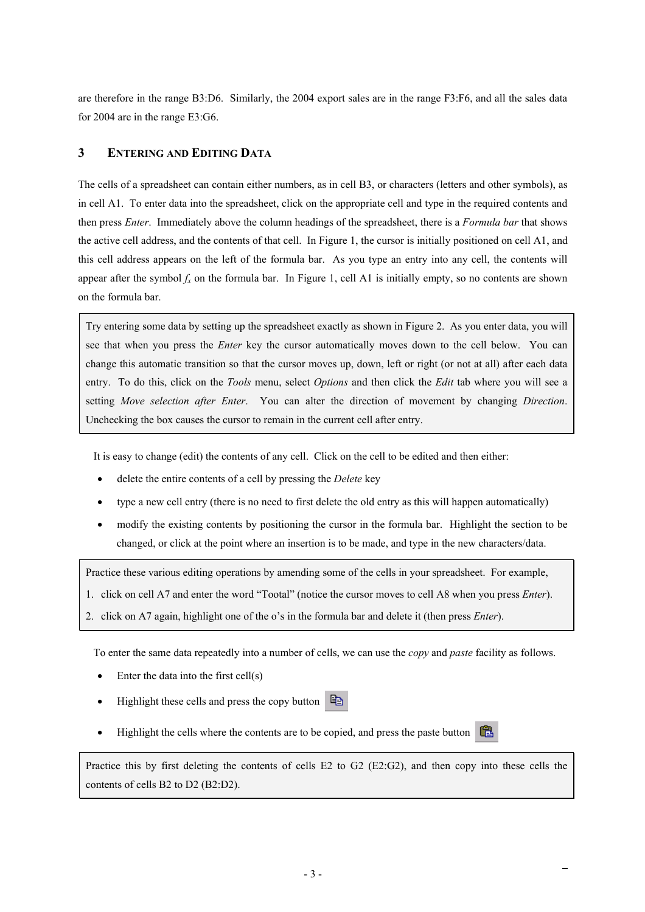are therefore in the range B3:D6. Similarly, the 2004 export sales are in the range F3:F6, and all the sales data for 2004 are in the range E3:G6.

## **3 ENTERING AND EDITING DATA**

The cells of a spreadsheet can contain either numbers, as in cell B3, or characters (letters and other symbols), as in cell A1. To enter data into the spreadsheet, click on the appropriate cell and type in the required contents and then press *Enter*. Immediately above the column headings of the spreadsheet, there is a *Formula bar* that shows the active cell address, and the contents of that cell. In Figure 1, the cursor is initially positioned on cell A1, and this cell address appears on the left of the formula bar. As you type an entry into any cell, the contents will appear after the symbol  $f_x$  on the formula bar. In Figure 1, cell A1 is initially empty, so no contents are shown on the formula bar.

Try entering some data by setting up the spreadsheet exactly as shown in Figure 2. As you enter data, you will see that when you press the *Enter* key the cursor automatically moves down to the cell below. You can change this automatic transition so that the cursor moves up, down, left or right (or not at all) after each data entry. To do this, click on the *Tools* menu, select *Options* and then click the *Edit* tab where you will see a setting *Move selection after Enter*. You can alter the direction of movement by changing *Direction*. Unchecking the box causes the cursor to remain in the current cell after entry.

It is easy to change (edit) the contents of any cell. Click on the cell to be edited and then either:

- delete the entire contents of a cell by pressing the *Delete* key
- type a new cell entry (there is no need to first delete the old entry as this will happen automatically)
- modify the existing contents by positioning the cursor in the formula bar. Highlight the section to be changed, or click at the point where an insertion is to be made, and type in the new characters/data.

Practice these various editing operations by amending some of the cells in your spreadsheet. For example,

- 1. click on cell A7 and enter the word "Tootal" (notice the cursor moves to cell A8 when you press *Enter*).
- 2. click on A7 again, highlight one of the o's in the formula bar and delete it (then press *Enter*).

To enter the same data repeatedly into a number of cells, we can use the *copy* and *paste* facility as follows.

- Enter the data into the first cell(s)
- Highlight these cells and press the copy button 昏
- Highlight the cells where the contents are to be copied, and press the paste button

Practice this by first deleting the contents of cells E2 to G2 (E2:G2), and then copy into these cells the contents of cells B2 to D2 (B2:D2).

矗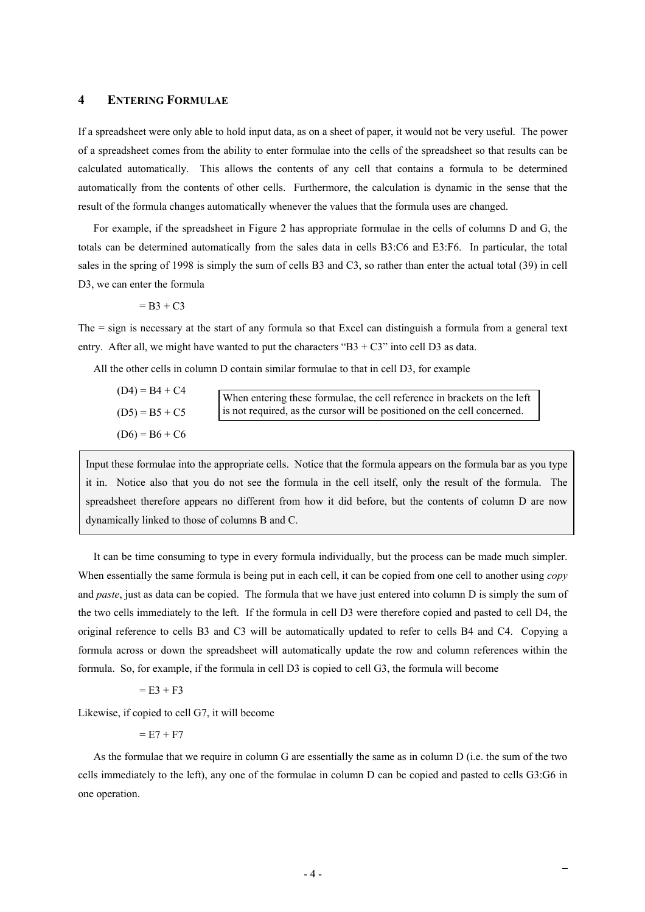### **4 ENTERING FORMULAE**

If a spreadsheet were only able to hold input data, as on a sheet of paper, it would not be very useful. The power of a spreadsheet comes from the ability to enter formulae into the cells of the spreadsheet so that results can be calculated automatically. This allows the contents of any cell that contains a formula to be determined automatically from the contents of other cells. Furthermore, the calculation is dynamic in the sense that the result of the formula changes automatically whenever the values that the formula uses are changed.

For example, if the spreadsheet in Figure 2 has appropriate formulae in the cells of columns D and G, the totals can be determined automatically from the sales data in cells B3:C6 and E3:F6. In particular, the total sales in the spring of 1998 is simply the sum of cells B3 and C3, so rather than enter the actual total (39) in cell D3, we can enter the formula

$$
= B3 + C3
$$

The = sign is necessary at the start of any formula so that Excel can distinguish a formula from a general text entry. After all, we might have wanted to put the characters " $B3 + C3$ " into cell D3 as data.

All the other cells in column D contain similar formulae to that in cell D3, for example

| $(D4) = B4 + C4$ | When entering these formulae, the cell reference in brackets on the left |
|------------------|--------------------------------------------------------------------------|
| $(D5) = B5 + C5$ | is not required, as the cursor will be positioned on the cell concerned. |
| $(D6) = B6 + C6$ |                                                                          |

Input these formulae into the appropriate cells. Notice that the formula appears on the formula bar as you type it in. Notice also that you do not see the formula in the cell itself, only the result of the formula. The spreadsheet therefore appears no different from how it did before, but the contents of column D are now dynamically linked to those of columns B and C.

It can be time consuming to type in every formula individually, but the process can be made much simpler. When essentially the same formula is being put in each cell, it can be copied from one cell to another using *copy*  and *paste*, just as data can be copied. The formula that we have just entered into column D is simply the sum of the two cells immediately to the left. If the formula in cell D3 were therefore copied and pasted to cell D4, the original reference to cells B3 and C3 will be automatically updated to refer to cells B4 and C4. Copying a formula across or down the spreadsheet will automatically update the row and column references within the formula. So, for example, if the formula in cell D3 is copied to cell G3, the formula will become

 $=$  E3 + F3

Likewise, if copied to cell G7, it will become

 $= E7 + F7$ 

As the formulae that we require in column G are essentially the same as in column D (i.e. the sum of the two cells immediately to the left), any one of the formulae in column D can be copied and pasted to cells G3:G6 in one operation.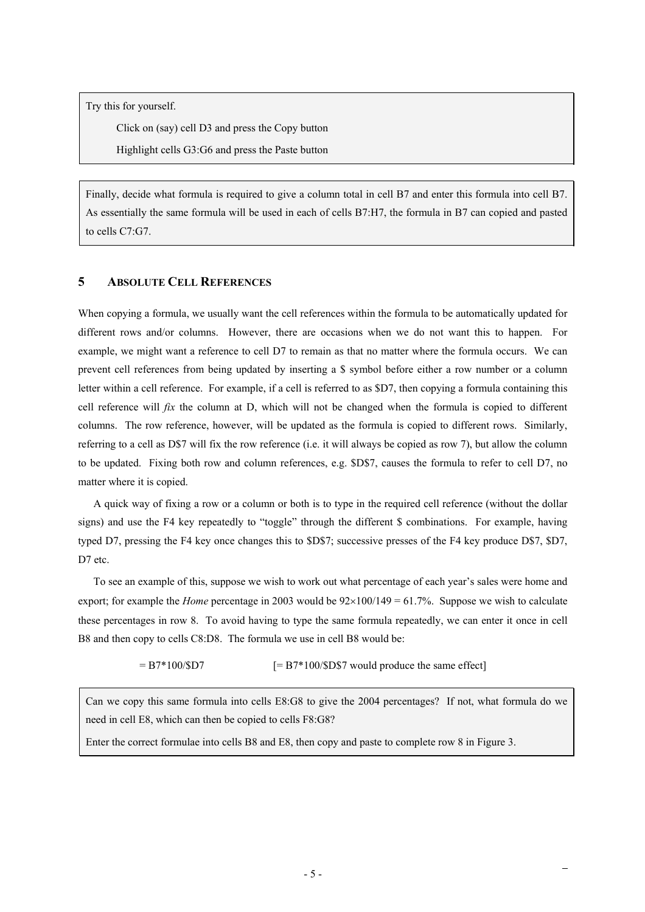Try this for yourself.

Click on (say) cell D3 and press the Copy button

Highlight cells G3:G6 and press the Paste button

Finally, decide what formula is required to give a column total in cell B7 and enter this formula into cell B7. As essentially the same formula will be used in each of cells B7:H7, the formula in B7 can copied and pasted to cells C7:G7.

## **5 ABSOLUTE CELL REFERENCES**

When copying a formula, we usually want the cell references within the formula to be automatically updated for different rows and/or columns. However, there are occasions when we do not want this to happen. For example, we might want a reference to cell D7 to remain as that no matter where the formula occurs. We can prevent cell references from being updated by inserting a \$ symbol before either a row number or a column letter within a cell reference. For example, if a cell is referred to as \$D7, then copying a formula containing this cell reference will *fix* the column at D, which will not be changed when the formula is copied to different columns. The row reference, however, will be updated as the formula is copied to different rows. Similarly, referring to a cell as D\$7 will fix the row reference (i.e. it will always be copied as row 7), but allow the column to be updated. Fixing both row and column references, e.g. \$D\$7, causes the formula to refer to cell D7, no matter where it is copied.

A quick way of fixing a row or a column or both is to type in the required cell reference (without the dollar signs) and use the F4 key repeatedly to "toggle" through the different \$ combinations. For example, having typed D7, pressing the F4 key once changes this to \$D\$7; successive presses of the F4 key produce D\$7, \$D7, D7 etc.

To see an example of this, suppose we wish to work out what percentage of each year's sales were home and export; for example the *Home* percentage in 2003 would be  $92\times100/149 = 61.7\%$ . Suppose we wish to calculate these percentages in row 8. To avoid having to type the same formula repeatedly, we can enter it once in cell B8 and then copy to cells C8:D8. The formula we use in cell B8 would be:

 $= B7*100/\$D7$   $[= B7*100/\$D$7 would produce the same effect]$ 

Can we copy this same formula into cells E8:G8 to give the 2004 percentages? If not, what formula do we need in cell E8, which can then be copied to cells F8:G8?

Enter the correct formulae into cells B8 and E8, then copy and paste to complete row 8 in Figure 3.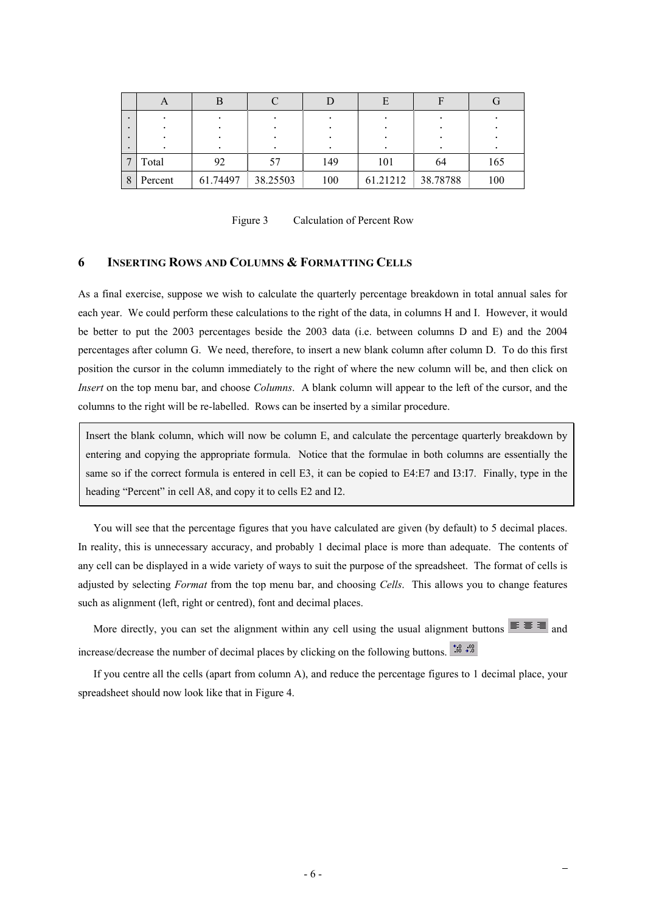| $\bullet$ |         |          |          |     |          |          |     |
|-----------|---------|----------|----------|-----|----------|----------|-----|
|           |         |          |          |     |          |          |     |
| $\bullet$ |         |          |          |     |          |          |     |
|           | Total   | 92       | 57       | 149 | 101      | 64       | 165 |
| 8         | Percent | 61.74497 | 38.25503 | 100 | 61.21212 | 38.78788 | 100 |

Figure 3 Calculation of Percent Row

### **6 INSERTING ROWS AND COLUMNS & FORMATTING CELLS**

As a final exercise, suppose we wish to calculate the quarterly percentage breakdown in total annual sales for each year. We could perform these calculations to the right of the data, in columns H and I. However, it would be better to put the 2003 percentages beside the 2003 data (i.e. between columns D and E) and the 2004 percentages after column G. We need, therefore, to insert a new blank column after column D. To do this first position the cursor in the column immediately to the right of where the new column will be, and then click on *Insert* on the top menu bar, and choose *Columns*. A blank column will appear to the left of the cursor, and the columns to the right will be re-labelled. Rows can be inserted by a similar procedure.

Insert the blank column, which will now be column E, and calculate the percentage quarterly breakdown by entering and copying the appropriate formula. Notice that the formulae in both columns are essentially the same so if the correct formula is entered in cell E3, it can be copied to E4:E7 and I3:I7. Finally, type in the heading "Percent" in cell A8, and copy it to cells E2 and I2.

You will see that the percentage figures that you have calculated are given (by default) to 5 decimal places. In reality, this is unnecessary accuracy, and probably 1 decimal place is more than adequate. The contents of any cell can be displayed in a wide variety of ways to suit the purpose of the spreadsheet. The format of cells is adjusted by selecting *Format* from the top menu bar, and choosing *Cells*. This allows you to change features such as alignment (left, right or centred), font and decimal places.

More directly, you can set the alignment within any cell using the usual alignment buttons  $\equiv \equiv \equiv$  and increase/decrease the number of decimal places by clicking on the following buttons.  $\frac{168}{100}$   $\frac{100}{100}$ 

If you centre all the cells (apart from column A), and reduce the percentage figures to 1 decimal place, your spreadsheet should now look like that in Figure 4.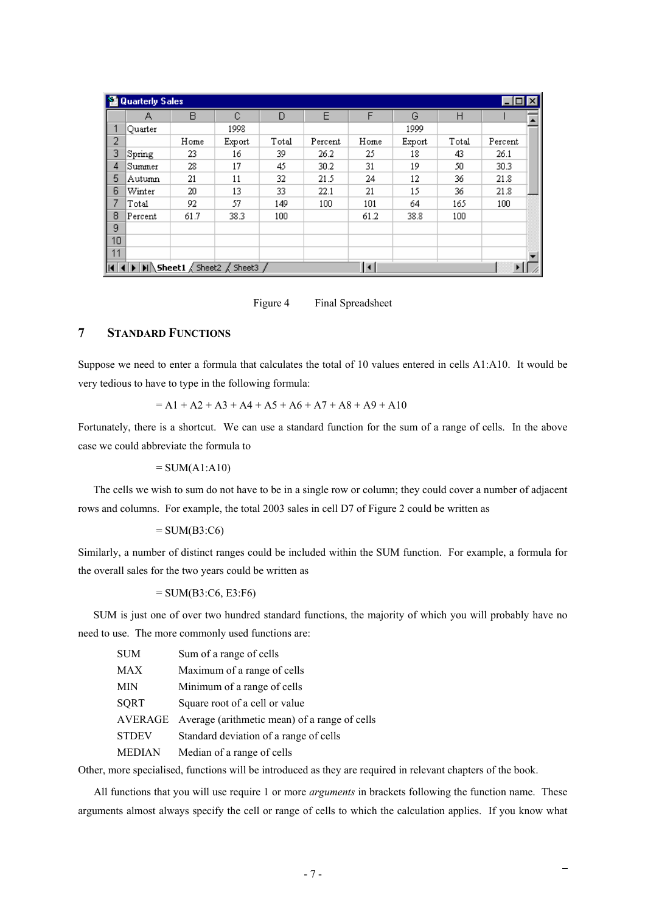|    | Quarterly Sales                  |                                                                                                              |        |       |         |      |        |       | $\Box$ olxi |  |
|----|----------------------------------|--------------------------------------------------------------------------------------------------------------|--------|-------|---------|------|--------|-------|-------------|--|
|    | А                                | B                                                                                                            | С      | D     | E       | F    | G      | Н     |             |  |
| 1  | Ouarter                          |                                                                                                              | 1998   |       |         |      | 1999   |       |             |  |
| 2  |                                  | Home                                                                                                         | Export | Total | Percent | Home | Export | Total | Percent     |  |
| 3  | $\operatorname{\mathsf{Spring}}$ | 23.                                                                                                          | 16     | 39    | 26.2    | 25   | 18     | 43    | 26.1        |  |
| 4  | Summer                           | 28                                                                                                           | 17     | 45    | 30.2    | 31   | 19     | 50    | 30.3        |  |
| 5  | Autumn                           | 21                                                                                                           | 11     | 32    | 21.5    | 24   | 12     | 36    | 21.8        |  |
| 6  | Winter                           | 20                                                                                                           | 13     | 33    | 22.1    | 21   | 15     | 36    | 21.8        |  |
| 7  | Total                            | 92                                                                                                           | 57     | 149   | 100     | 101  | 64     | 165   | 100         |  |
| 8  | Percent                          | 61.7                                                                                                         | 38.3   | 100   |         | 61.2 | 38.8   | 100   |             |  |
| 9  |                                  |                                                                                                              |        |       |         |      |        |       |             |  |
| 10 |                                  |                                                                                                              |        |       |         |      |        |       |             |  |
| 11 |                                  |                                                                                                              |        |       |         |      |        |       |             |  |
|    |                                  | $\overline{A \mid A \mid B \mid B}$ <b>Sheet1</b> $\overline{A}$ Sheet2 $\overline{A}$ Sheet3 $\overline{A}$ |        |       |         | l۰   |        |       |             |  |

Figure 4 Final Spreadsheet

### **7 STANDARD FUNCTIONS**

Suppose we need to enter a formula that calculates the total of 10 values entered in cells A1:A10. It would be very tedious to have to type in the following formula:

$$
= A1 + A2 + A3 + A4 + A5 + A6 + A7 + A8 + A9 + A10
$$

Fortunately, there is a shortcut. We can use a standard function for the sum of a range of cells. In the above case we could abbreviate the formula to

 $=$  SUM(A1:A10)

The cells we wish to sum do not have to be in a single row or column; they could cover a number of adjacent rows and columns. For example, the total 2003 sales in cell D7 of Figure 2 could be written as

### $=$  SUM(B3:C6)

Similarly, a number of distinct ranges could be included within the SUM function. For example, a formula for the overall sales for the two years could be written as

### $=$  SUM(B3:C6, E3:F6)

SUM is just one of over two hundred standard functions, the majority of which you will probably have no need to use. The more commonly used functions are:

| <b>SUM</b>    | Sum of a range of cells                       |
|---------------|-----------------------------------------------|
| <b>MAX</b>    | Maximum of a range of cells                   |
| MIN           | Minimum of a range of cells                   |
| <b>SQRT</b>   | Square root of a cell or value                |
| AVERAGE       | Average (arithmetic mean) of a range of cells |
| <b>STDEV</b>  | Standard deviation of a range of cells        |
| <b>MEDIAN</b> | Median of a range of cells                    |

Other, more specialised, functions will be introduced as they are required in relevant chapters of the book.

All functions that you will use require 1 or more *arguments* in brackets following the function name. These arguments almost always specify the cell or range of cells to which the calculation applies. If you know what

 $\overline{\phantom{0}}$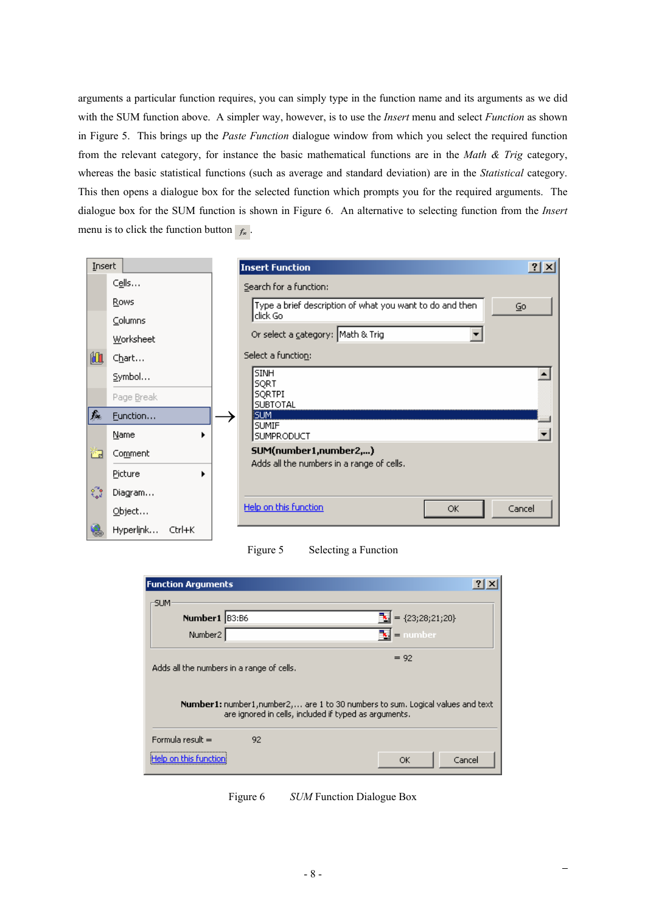arguments a particular function requires, you can simply type in the function name and its arguments as we did with the SUM function above. A simpler way, however, is to use the *Insert* menu and select *Function* as shown in Figure 5. This brings up the *Paste Function* dialogue window from which you select the required function from the relevant category, for instance the basic mathematical functions are in the *Math & Trig* category, whereas the basic statistical functions (such as average and standard deviation) are in the *Statistical* category. This then opens a dialogue box for the selected function which prompts you for the required arguments. The dialogue box for the SUM function is shown in Figure 6. An alternative to selecting function from the *Insert* menu is to click the function button  $f_*$ .

|    | Insert              | <b>Insert Function</b>                                   | $2 \times$ |
|----|---------------------|----------------------------------------------------------|------------|
|    | Cells               | Search for a function:                                   |            |
|    | Rows                | Type a brief description of what you want to do and then | Go         |
|    | Columns             | ldick Gol                                                |            |
|    | Worksheet           | Or select a category: Math & Trig                        |            |
| 仙  | Chart…              | Select a function:                                       |            |
|    | Symbol              | <b>SINH</b><br><b>SQRT</b>                               |            |
|    | Page Break          | <b>SORTPI</b><br><b>SUBTOTAL</b>                         |            |
| 纛  | Function            | <b>SUM</b>                                               |            |
|    | Name                | <b>SUMIF</b><br>SUMPRODUCT                               |            |
| 齒  | Comment             | SUM(number1,number2,)                                    |            |
|    | Picture<br>▶        | Adds all the numbers in a range of cells.                |            |
| े  | Diagram             |                                                          |            |
|    | Object              | Help on this function<br>OK.                             | Cancel     |
| v. | Hyperlink<br>Ctrl+K |                                                          |            |

Figure 5 Selecting a Function

| <b>Function Arguments</b>                 |                                                                                                                                         |  |
|-------------------------------------------|-----------------------------------------------------------------------------------------------------------------------------------------|--|
| -SUM-                                     |                                                                                                                                         |  |
| Number1 B3:B6                             | $\mathbb{E} = \{23; 28; 21; 20\}$                                                                                                       |  |
| Number <sub>2</sub>                       | $\mathbf{E}$ = number                                                                                                                   |  |
| Adds all the numbers in a range of cells. | $= 92$                                                                                                                                  |  |
|                                           | Number1: number1, number2, are 1 to 30 numbers to sum. Logical values and text<br>are ignored in cells, included if typed as arguments. |  |
| Formula result $=$                        | 92                                                                                                                                      |  |
|                                           | Cancel<br>ОК                                                                                                                            |  |

Figure 6 *SUM* Function Dialogue Box

 $\overline{\phantom{a}}$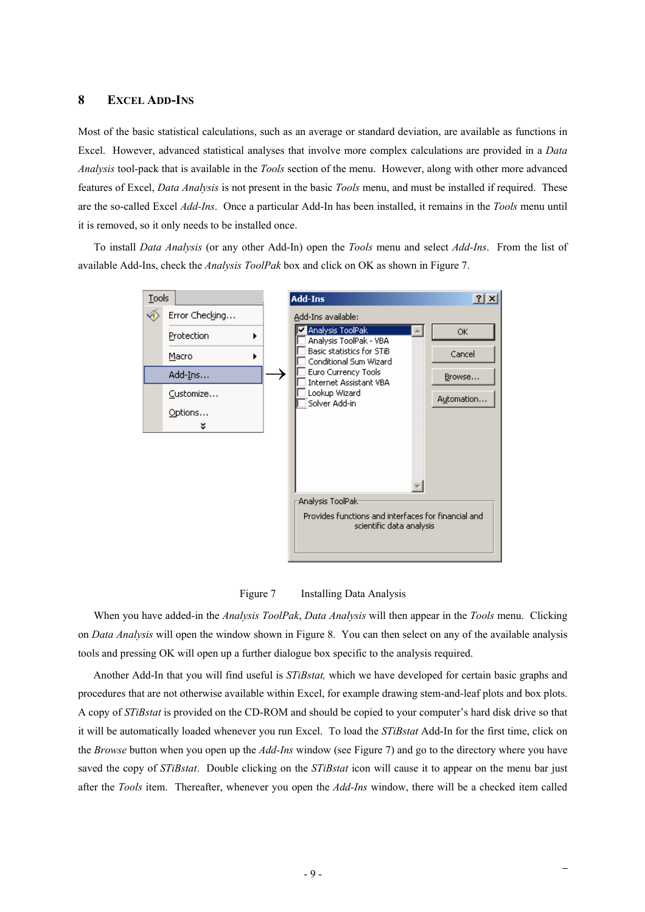### **8 EXCEL ADD-INS**

Most of the basic statistical calculations, such as an average or standard deviation, are available as functions in Excel. However, advanced statistical analyses that involve more complex calculations are provided in a *Data Analysis* tool-pack that is available in the *Tools* section of the menu. However, along with other more advanced features of Excel, *Data Analysis* is not present in the basic *Tools* menu, and must be installed if required. These are the so-called Excel *Add-Ins*. Once a particular Add-In has been installed, it remains in the *Tools* menu until it is removed, so it only needs to be installed once.

To install *Data Analysis* (or any other Add-In) open the *Tools* menu and select *Add-Ins*. From the list of available Add-Ins, check the *Analysis ToolPak* box and click on OK as shown in Figure 7.



Figure 7 Installing Data Analysis

When you have added-in the *Analysis ToolPak*, *Data Analysis* will then appear in the *Tools* menu. Clicking on *Data Analysis* will open the window shown in Figure 8. You can then select on any of the available analysis tools and pressing OK will open up a further dialogue box specific to the analysis required.

Another Add-In that you will find useful is *STiBstat,* which we have developed for certain basic graphs and procedures that are not otherwise available within Excel, for example drawing stem-and-leaf plots and box plots. A copy of *STiBstat* is provided on the CD-ROM and should be copied to your computer's hard disk drive so that it will be automatically loaded whenever you run Excel. To load the *STiBstat* Add-In for the first time, click on the *Browse* button when you open up the *Add-Ins* window (see Figure 7) and go to the directory where you have saved the copy of *STiBstat*. Double clicking on the *STiBstat* icon will cause it to appear on the menu bar just after the *Tools* item. Thereafter, whenever you open the *Add-Ins* window, there will be a checked item called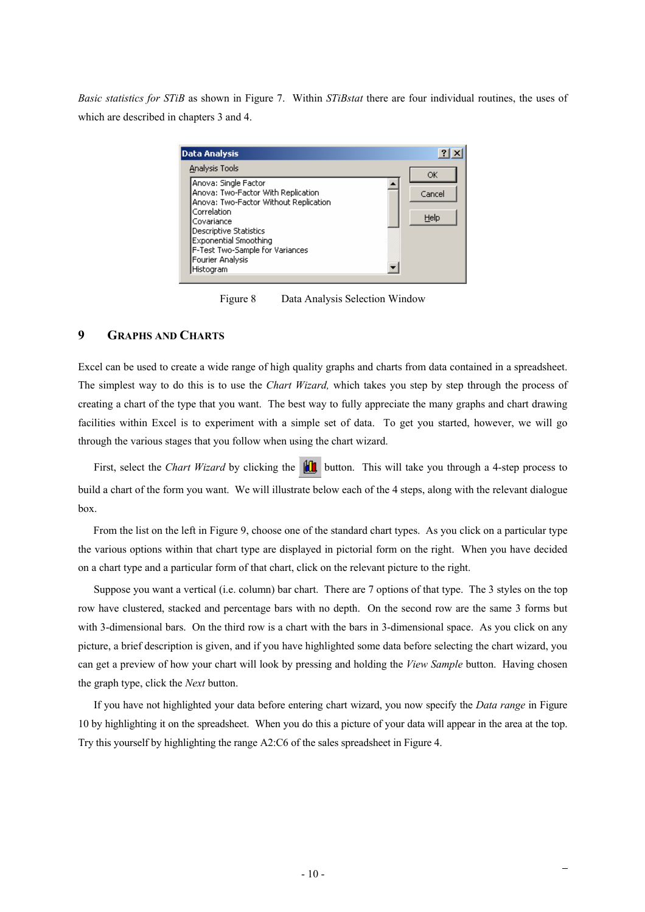*Basic statistics for STiB* as shown in Figure 7. Within *STiBstat* there are four individual routines, the uses of which are described in chapters 3 and 4.

| <b>Data Analysis</b>                                                                                                                                                                                                                                           | $\frac{1}{2}$  |
|----------------------------------------------------------------------------------------------------------------------------------------------------------------------------------------------------------------------------------------------------------------|----------------|
| Analysis Tools                                                                                                                                                                                                                                                 | ОК             |
| Anova: Single Factor<br>Anova: Two-Factor With Replication<br>Anova: Two-Factor Without Replication<br>Correlation<br>Covariance<br>Descriptive Statistics<br><b>Exponential Smoothing</b><br>F-Test Two-Sample for Variances<br>Fourier Analysis<br>Histogram | Cancel<br>Help |

Figure 8 Data Analysis Selection Window

### **9 GRAPHS AND CHARTS**

Excel can be used to create a wide range of high quality graphs and charts from data contained in a spreadsheet. The simplest way to do this is to use the *Chart Wizard,* which takes you step by step through the process of creating a chart of the type that you want. The best way to fully appreciate the many graphs and chart drawing facilities within Excel is to experiment with a simple set of data. To get you started, however, we will go through the various stages that you follow when using the chart wizard.

First, select the *Chart Wizard* by clicking the **button**. This will take you through a 4-step process to build a chart of the form you want. We will illustrate below each of the 4 steps, along with the relevant dialogue box.

From the list on the left in Figure 9, choose one of the standard chart types. As you click on a particular type the various options within that chart type are displayed in pictorial form on the right. When you have decided on a chart type and a particular form of that chart, click on the relevant picture to the right.

Suppose you want a vertical (i.e. column) bar chart. There are 7 options of that type. The 3 styles on the top row have clustered, stacked and percentage bars with no depth. On the second row are the same 3 forms but with 3-dimensional bars. On the third row is a chart with the bars in 3-dimensional space. As you click on any picture, a brief description is given, and if you have highlighted some data before selecting the chart wizard, you can get a preview of how your chart will look by pressing and holding the *View Sample* button. Having chosen the graph type, click the *Next* button.

If you have not highlighted your data before entering chart wizard, you now specify the *Data range* in Figure 10 by highlighting it on the spreadsheet. When you do this a picture of your data will appear in the area at the top. Try this yourself by highlighting the range A2:C6 of the sales spreadsheet in Figure 4.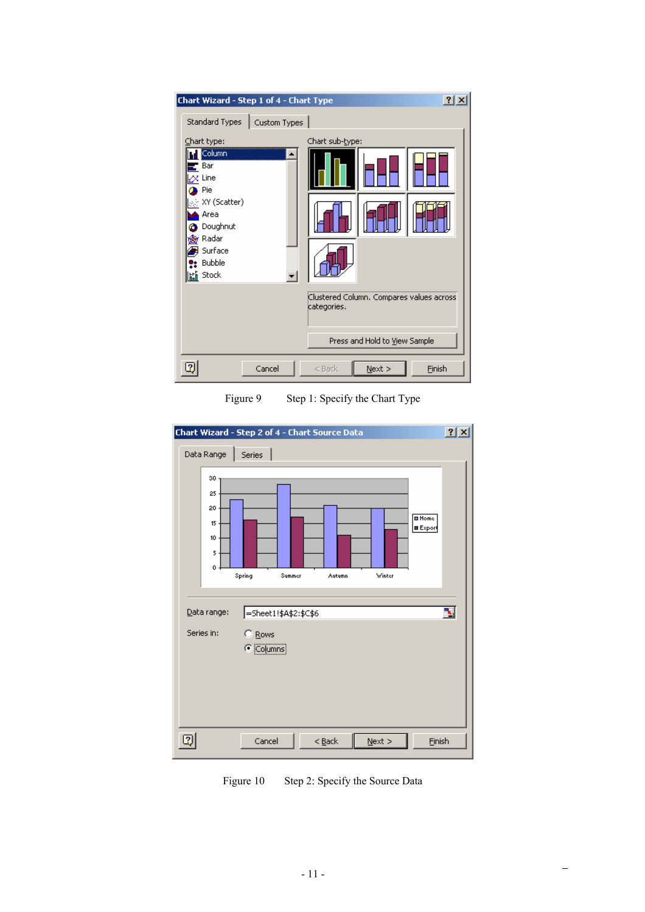|                                                                                                                 | Chart Wizard - Step 1 of 4 - Chart Type                                                                                | ? X    |
|-----------------------------------------------------------------------------------------------------------------|------------------------------------------------------------------------------------------------------------------------|--------|
| Standard Types                                                                                                  | Custom Types                                                                                                           |        |
| Chart type:<br>Column<br>Bar<br>$\alpha$ Line<br>Pie<br>्: XY (Scatter)<br>Area<br>Doughnut<br>Radar<br>Surface | Chart sub-type:                                                                                                        |        |
| <b>Bubble</b><br><b>临</b> Stock                                                                                 | Clustered Column. Compares values across<br>categories.<br>Press and Hold to View Sample<br>Cancel<br>$<$ Back<br>Next | Finish |

Figure 9 Step 1: Specify the Chart Type



Figure 10 Step 2: Specify the Source Data

 $\equiv$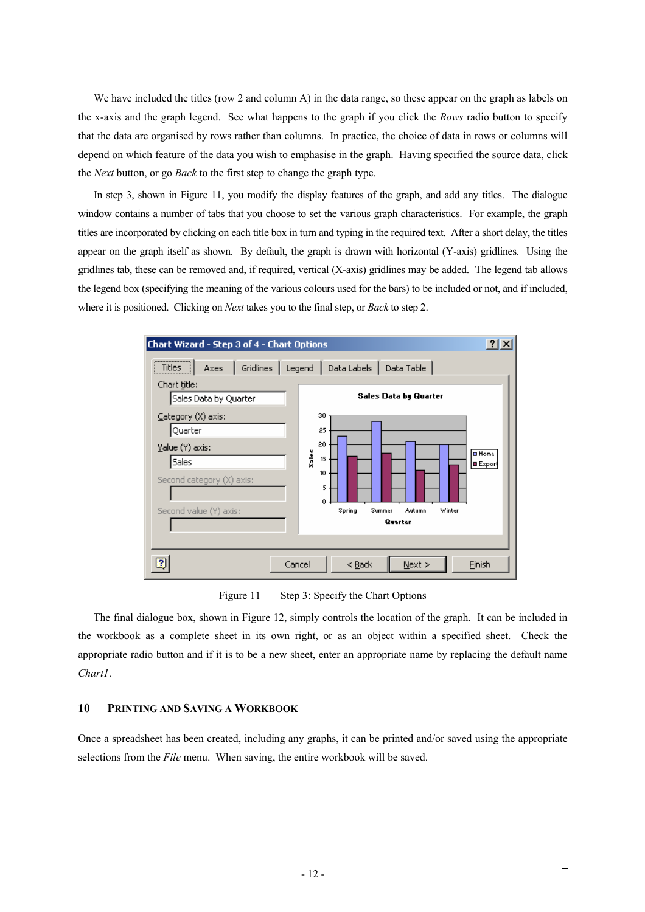We have included the titles (row 2 and column A) in the data range, so these appear on the graph as labels on the x-axis and the graph legend. See what happens to the graph if you click the *Rows* radio button to specify that the data are organised by rows rather than columns. In practice, the choice of data in rows or columns will depend on which feature of the data you wish to emphasise in the graph. Having specified the source data, click the *Next* button, or go *Back* to the first step to change the graph type.

In step 3, shown in Figure 11, you modify the display features of the graph, and add any titles. The dialogue window contains a number of tabs that you choose to set the various graph characteristics. For example, the graph titles are incorporated by clicking on each title box in turn and typing in the required text. After a short delay, the titles appear on the graph itself as shown. By default, the graph is drawn with horizontal (Y-axis) gridlines. Using the gridlines tab, these can be removed and, if required, vertical (X-axis) gridlines may be added. The legend tab allows the legend box (specifying the meaning of the various colours used for the bars) to be included or not, and if included, where it is positioned. Clicking on *Next* takes you to the final step, or *Back* to step 2.



Figure 11 Step 3: Specify the Chart Options

The final dialogue box, shown in Figure 12, simply controls the location of the graph. It can be included in the workbook as a complete sheet in its own right, or as an object within a specified sheet. Check the appropriate radio button and if it is to be a new sheet, enter an appropriate name by replacing the default name *Chart1*.

### **10 PRINTING AND SAVING A WORKBOOK**

Once a spreadsheet has been created, including any graphs, it can be printed and/or saved using the appropriate selections from the *File* menu. When saving, the entire workbook will be saved.